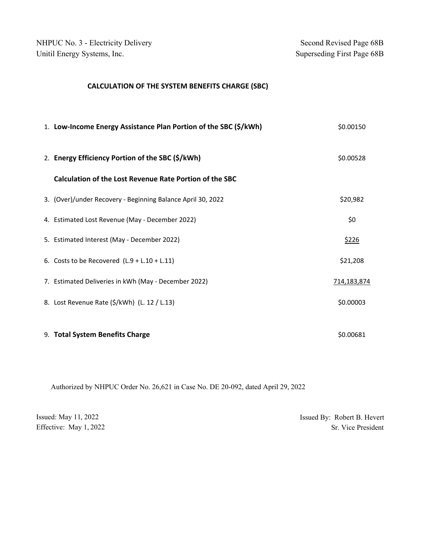NHPUC No. 3 - Electricity Delivery Second Revised Page 68B Unitil Energy Systems, Inc. Superseding First Page 68B

## **CALCULATION OF THE SYSTEM BENEFITS CHARGE (SBC)**

| 1. Low-Income Energy Assistance Plan Portion of the SBC (\$/kWh) | \$0.00150    |
|------------------------------------------------------------------|--------------|
| 2. Energy Efficiency Portion of the SBC (\$/kWh)                 | \$0.00528    |
| Calculation of the Lost Revenue Rate Portion of the SBC          |              |
| 3. (Over)/under Recovery - Beginning Balance April 30, 2022      | \$20,982     |
| 4. Estimated Lost Revenue (May - December 2022)                  | \$0          |
| 5. Estimated Interest (May - December 2022)                      | <u>\$226</u> |
| 6. Costs to be Recovered $(L.9 + L.10 + L.11)$                   | \$21,208     |
| 7. Estimated Deliveries in kWh (May - December 2022)             | 714,183,874  |
| 8. Lost Revenue Rate (\$/kWh) (L. 12 / L.13)                     | \$0.00003    |
|                                                                  |              |
| 9. Total System Benefits Charge                                  | \$0.00681    |

Authorized by NHPUC Order No. 26,621 in Case No. DE 20-092, dated April 29, 2022

| Issued: May 11, 2022   | Issued By: Robert B. Hevert |
|------------------------|-----------------------------|
| Effective: May 1, 2022 | Sr. Vice President          |